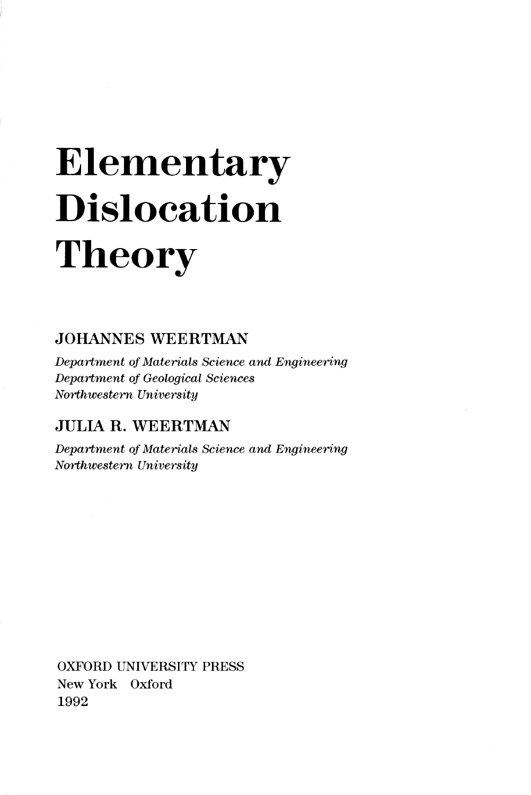## Elementary Dislocation Theory

## JOHANNES WEERTMAN

*Department of Materials Science and Engineering Department of Geological Sciences Northwestern University* 

## JULIA R. WEERTMAN

*Department of Materials Science and Engineering Northwestern University* 

OXFORD UNIVERSITY PRESS New York Oxford 1992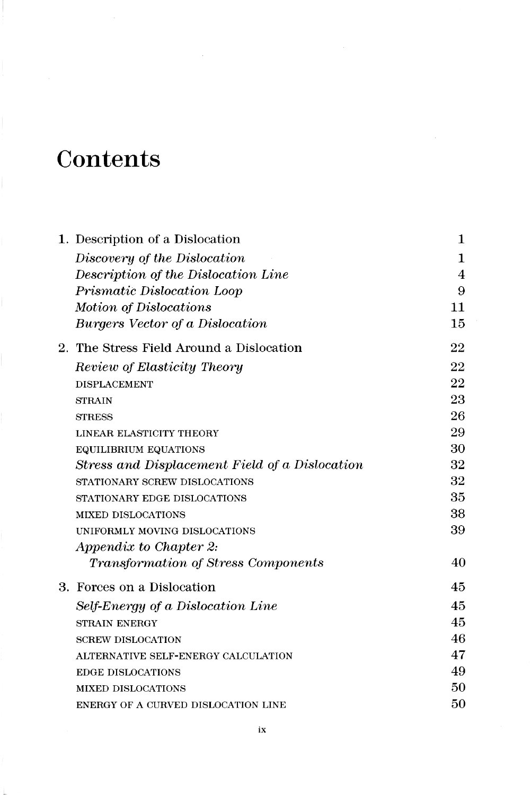## **Contents**

| 1. Description of a Dislocation                | 1  |
|------------------------------------------------|----|
| Discovery of the Dislocation                   | 1  |
| Description of the Dislocation Line            | 4  |
| Prismatic Dislocation Loop                     | 9  |
| Motion of Dislocations                         | 11 |
| Burgers Vector of a Dislocation                | 15 |
| 2. The Stress Field Around a Dislocation       | 22 |
| Review of Elasticity Theory                    | 22 |
| <b>DISPLACEMENT</b>                            | 22 |
| <b>STRAIN</b>                                  | 23 |
| <b>STRESS</b>                                  | 26 |
| LINEAR ELASTICITY THEORY                       | 29 |
| EQUILIBRIUM EQUATIONS                          | 30 |
| Stress and Displacement Field of a Dislocation | 32 |
| STATIONARY SCREW DISLOCATIONS                  | 32 |
| STATIONARY EDGE DISLOCATIONS                   | 35 |
| <b>MIXED DISLOCATIONS</b>                      | 38 |
| UNIFORMLY MOVING DISLOCATIONS                  | 39 |
| Appendix to Chapter 2:                         |    |
| <i>Transformation of Stress Components</i>     | 40 |
| 3. Forces on a Dislocation                     | 45 |
| Self-Energy of a Dislocation Line              | 45 |
| <b>STRAIN ENERGY</b>                           | 45 |
| <b>SCREW DISLOCATION</b>                       | 46 |
| ALTERNATIVE SELF-ENERGY CALCULATION            | 47 |
| <b>EDGE DISLOCATIONS</b>                       | 49 |
| <b>MIXED DISLOCATIONS</b>                      | 50 |
| ENERGY OF A CURVED DISLOCATION LINE            | 50 |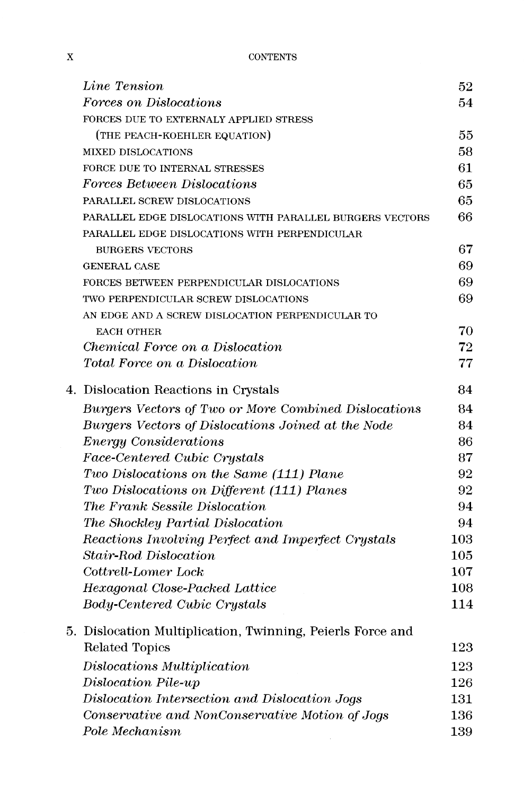| Line Tension                                               | 52         |
|------------------------------------------------------------|------------|
| Forces on Dislocations                                     | 54         |
| FORCES DUE TO EXTERNALY APPLIED STRESS                     |            |
| (THE PEACH-KOEHLER EQUATION)                               | 55         |
| <b>MIXED DISLOCATIONS</b>                                  | 58         |
| FORCE DUE TO INTERNAL STRESSES                             | 61         |
| Forces Between Dislocations                                | 65         |
| PARALLEL SCREW DISLOCATIONS                                | 65         |
| PARALLEL EDGE DISLOCATIONS WITH PARALLEL BURGERS VECTORS   | 66         |
| PARALLEL EDGE DISLOCATIONS WITH PERPENDICULAR              |            |
| <b>BURGERS VECTORS</b>                                     | 67         |
| <b>GENERAL CASE</b>                                        | 69         |
| FORCES BETWEEN PERPENDICULAR DISLOCATIONS                  | 69         |
| TWO PERPENDICULAR SCREW DISLOCATIONS                       | 69         |
| AN EDGE AND A SCREW DISLOCATION PERPENDICULAR TO           |            |
| <b>EACH OTHER</b>                                          | 70         |
| Chemical Force on a Dislocation                            | 72         |
| Total Force on a Dislocation                               | 77         |
| 4. Dislocation Reactions in Crystals                       | 84         |
| Burgers Vectors of Two or More Combined Dislocations       | 84         |
| Burgers Vectors of Dislocations Joined at the Node         | 84         |
| <b>Energy Considerations</b>                               | 86         |
| Face-Centered Cubic Crystals                               | 87         |
| Two Dislocations on the Same (111) Plane                   | 92         |
| Two Dislocations on Different (111) Planes                 | 92         |
| The Frank Sessile Dislocation                              | 94         |
| The Shockley Partial Dislocation                           | 94         |
| Reactions Involving Perfect and Imperfect Crystals         | 103        |
| <b>Stair-Rod Dislocation</b>                               | 105        |
| Cottrell-Lomer Lock                                        | 107        |
| Hexagonal Close-Packed Lattice                             | 108        |
| <b>Body-Centered Cubic Crystals</b>                        | 114        |
| 5. Dislocation Multiplication, Twinning, Peierls Force and |            |
| Related Topics                                             | 123        |
| Dislocations Multiplication                                | 123        |
| Dislocation Pile-up                                        | 126        |
| Dislocation Intersection and Dislocation Jogs              | 131        |
| Conservative and NonConservative Motion of Jogs            | $^{136}\,$ |
| Pole Mechanism                                             | 139        |